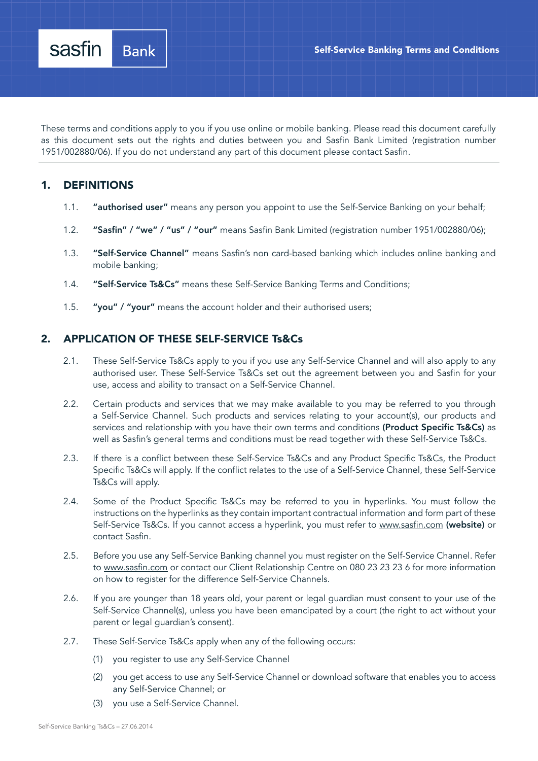These terms and conditions apply to you if you use online or mobile banking. Please read this document carefully as this document sets out the rights and duties between you and Sasfin Bank Limited (registration number 1951/002880/06). If you do not understand any part of this document please contact Sasfin.

# 1. DEFINITIONS

- 1.1. "authorised user" means any person you appoint to use the Self-Service Banking on your behalf;
- 1.2. "Sasfin" / "we" / "us" / "our" means Sasfin Bank Limited (registration number 1951/002880/06);
- 1.3. "Self-Service Channel" means Sasfin's non card-based banking which includes online banking and mobile banking;
- 1.4. "Self-Service Ts&Cs" means these Self-Service Banking Terms and Conditions;
- 1.5. "you" / "your" means the account holder and their authorised users;

## 2. APPLICATION OF THESE SELF-SERVICE Ts&Cs

- 2.1. These Self-Service Ts&Cs apply to you if you use any Self-Service Channel and will also apply to any authorised user. These Self-Service Ts&Cs set out the agreement between you and Sasfin for your use, access and ability to transact on a Self-Service Channel.
- 2.2. Certain products and services that we may make available to you may be referred to you through a Self-Service Channel. Such products and services relating to your account(s), our products and services and relationship with you have their own terms and conditions (Product Specific Ts&Cs) as well as Sasfin's general terms and conditions must be read together with these Self-Service Ts&Cs.
- 2.3. If there is a conflict between these Self-Service Ts&Cs and any Product Specific Ts&Cs, the Product Specific Ts&Cs will apply. If the conflict relates to the use of a Self-Service Channel, these Self-Service Ts&Cs will apply.
- 2.4. Some of the Product Specific Ts&Cs may be referred to you in hyperlinks. You must follow the instructions on the hyperlinks as they contain important contractual information and form part of these Self-Service Ts&Cs. If you cannot access a hyperlink, you must refer to www.sasfin.com (website) or contact Sasfin.
- 2.5. Before you use any Self-Service Banking channel you must register on the Self-Service Channel. Refer to www.sasfin.com or contact our Client Relationship Centre on 080 23 23 23 6 for more information on how to register for the difference Self-Service Channels.
- 2.6. If you are younger than 18 years old, your parent or legal guardian must consent to your use of the Self-Service Channel(s), unless you have been emancipated by a court (the right to act without your parent or legal guardian's consent).
- 2.7. These Self-Service Ts&Cs apply when any of the following occurs:
	- (1) you register to use any Self-Service Channel
	- (2) you get access to use any Self-Service Channel or download software that enables you to access any Self-Service Channel; or
	- (3) you use a Self-Service Channel.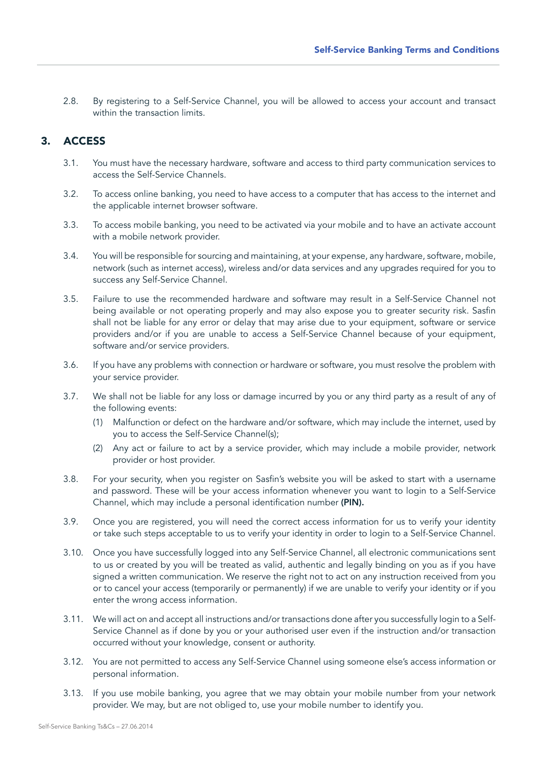2.8. By registering to a Self-Service Channel, you will be allowed to access your account and transact within the transaction limits.

### 3. ACCESS

- 3.1. You must have the necessary hardware, software and access to third party communication services to access the Self-Service Channels.
- 3.2. To access online banking, you need to have access to a computer that has access to the internet and the applicable internet browser software.
- 3.3. To access mobile banking, you need to be activated via your mobile and to have an activate account with a mobile network provider.
- 3.4. You will be responsible for sourcing and maintaining, at your expense, any hardware, software, mobile, network (such as internet access), wireless and/or data services and any upgrades required for you to success any Self-Service Channel.
- 3.5. Failure to use the recommended hardware and software may result in a Self-Service Channel not being available or not operating properly and may also expose you to greater security risk. Sasfin shall not be liable for any error or delay that may arise due to your equipment, software or service providers and/or if you are unable to access a Self-Service Channel because of your equipment, software and/or service providers.
- 3.6. If you have any problems with connection or hardware or software, you must resolve the problem with your service provider.
- 3.7. We shall not be liable for any loss or damage incurred by you or any third party as a result of any of the following events:
	- (1) Malfunction or defect on the hardware and/or software, which may include the internet, used by you to access the Self-Service Channel(s);
	- (2) Any act or failure to act by a service provider, which may include a mobile provider, network provider or host provider.
- 3.8. For your security, when you register on Sasfin's website you will be asked to start with a username and password. These will be your access information whenever you want to login to a Self-Service Channel, which may include a personal identification number (PIN).
- 3.9. Once you are registered, you will need the correct access information for us to verify your identity or take such steps acceptable to us to verify your identity in order to login to a Self-Service Channel.
- 3.10. Once you have successfully logged into any Self-Service Channel, all electronic communications sent to us or created by you will be treated as valid, authentic and legally binding on you as if you have signed a written communication. We reserve the right not to act on any instruction received from you or to cancel your access (temporarily or permanently) if we are unable to verify your identity or if you enter the wrong access information.
- 3.11. We will act on and accept all instructions and/or transactions done after you successfully login to a Self-Service Channel as if done by you or your authorised user even if the instruction and/or transaction occurred without your knowledge, consent or authority.
- 3.12. You are not permitted to access any Self-Service Channel using someone else's access information or personal information.
- 3.13. If you use mobile banking, you agree that we may obtain your mobile number from your network provider. We may, but are not obliged to, use your mobile number to identify you.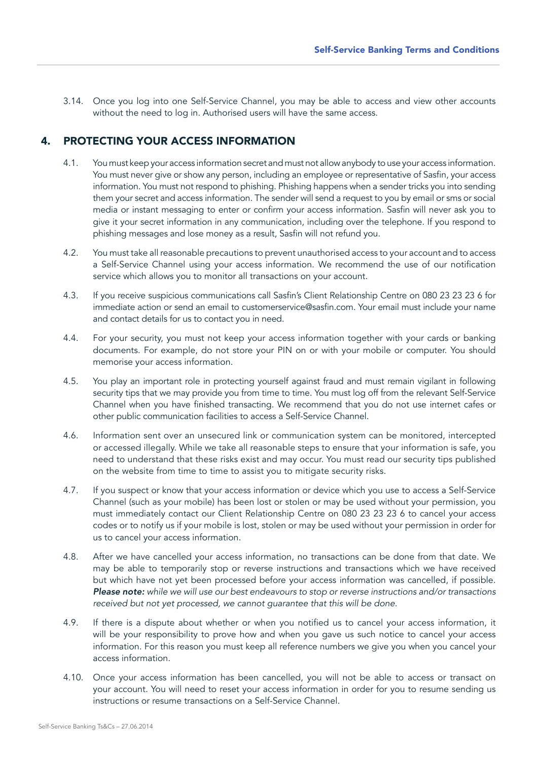3.14. Once you log into one Self-Service Channel, you may be able to access and view other accounts without the need to log in. Authorised users will have the same access.

## 4. PROTECTING YOUR ACCESS INFORMATION

- 4.1. You must keep your access information secret and must not allow anybody to use your access information. You must never give or show any person, including an employee or representative of Sasfin, your access information. You must not respond to phishing. Phishing happens when a sender tricks you into sending them your secret and access information. The sender will send a request to you by email or sms or social media or instant messaging to enter or confirm your access information. Sasfin will never ask you to give it your secret information in any communication, including over the telephone. If you respond to phishing messages and lose money as a result, Sasfin will not refund you.
- 4.2. You must take all reasonable precautions to prevent unauthorised access to your account and to access a Self-Service Channel using your access information. We recommend the use of our notification service which allows you to monitor all transactions on your account.
- 4.3. If you receive suspicious communications call Sasfin's Client Relationship Centre on 080 23 23 23 6 for immediate action or send an email to customerservice@sasfin.com. Your email must include your name and contact details for us to contact you in need.
- 4.4. For your security, you must not keep your access information together with your cards or banking documents. For example, do not store your PIN on or with your mobile or computer. You should memorise your access information.
- 4.5. You play an important role in protecting yourself against fraud and must remain vigilant in following security tips that we may provide you from time to time. You must log off from the relevant Self-Service Channel when you have finished transacting. We recommend that you do not use internet cafes or other public communication facilities to access a Self-Service Channel.
- 4.6. Information sent over an unsecured link or communication system can be monitored, intercepted or accessed illegally. While we take all reasonable steps to ensure that your information is safe, you need to understand that these risks exist and may occur. You must read our security tips published on the website from time to time to assist you to mitigate security risks.
- 4.7. If you suspect or know that your access information or device which you use to access a Self-Service Channel (such as your mobile) has been lost or stolen or may be used without your permission, you must immediately contact our Client Relationship Centre on 080 23 23 23 6 to cancel your access codes or to notify us if your mobile is lost, stolen or may be used without your permission in order for us to cancel your access information.
- 4.8. After we have cancelled your access information, no transactions can be done from that date. We may be able to temporarily stop or reverse instructions and transactions which we have received but which have not yet been processed before your access information was cancelled, if possible. *Please note: while we will use our best endeavours to stop or reverse instructions and/or transactions received but not yet processed, we cannot guarantee that this will be done.*
- 4.9. If there is a dispute about whether or when you notified us to cancel your access information, it will be your responsibility to prove how and when you gave us such notice to cancel your access information. For this reason you must keep all reference numbers we give you when you cancel your access information.
- 4.10. Once your access information has been cancelled, you will not be able to access or transact on your account. You will need to reset your access information in order for you to resume sending us instructions or resume transactions on a Self-Service Channel.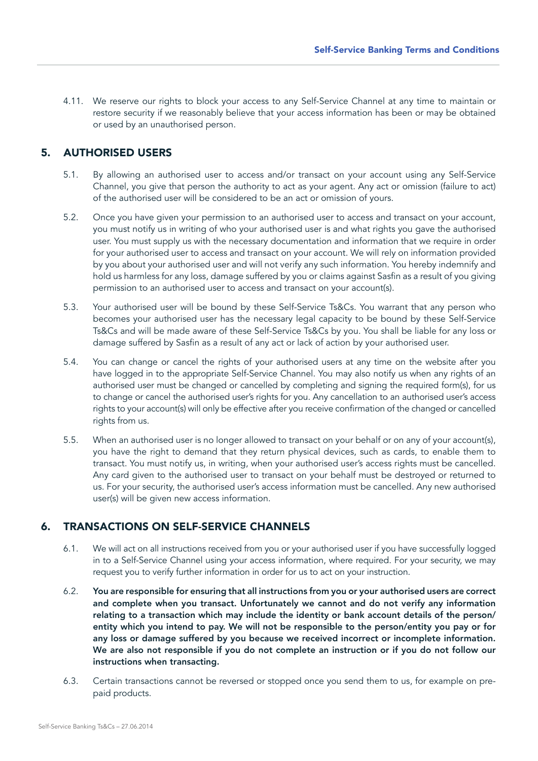4.11. We reserve our rights to block your access to any Self-Service Channel at any time to maintain or restore security if we reasonably believe that your access information has been or may be obtained or used by an unauthorised person.

### 5. AUTHORISED USERS

- 5.1. By allowing an authorised user to access and/or transact on your account using any Self-Service Channel, you give that person the authority to act as your agent. Any act or omission (failure to act) of the authorised user will be considered to be an act or omission of yours.
- 5.2. Once you have given your permission to an authorised user to access and transact on your account, you must notify us in writing of who your authorised user is and what rights you gave the authorised user. You must supply us with the necessary documentation and information that we require in order for your authorised user to access and transact on your account. We will rely on information provided by you about your authorised user and will not verify any such information. You hereby indemnify and hold us harmless for any loss, damage suffered by you or claims against Sasfin as a result of you giving permission to an authorised user to access and transact on your account(s).
- 5.3. Your authorised user will be bound by these Self-Service Ts&Cs. You warrant that any person who becomes your authorised user has the necessary legal capacity to be bound by these Self-Service Ts&Cs and will be made aware of these Self-Service Ts&Cs by you. You shall be liable for any loss or damage suffered by Sasfin as a result of any act or lack of action by your authorised user.
- 5.4. You can change or cancel the rights of your authorised users at any time on the website after you have logged in to the appropriate Self-Service Channel. You may also notify us when any rights of an authorised user must be changed or cancelled by completing and signing the required form(s), for us to change or cancel the authorised user's rights for you. Any cancellation to an authorised user's access rights to your account(s) will only be effective after you receive confirmation of the changed or cancelled rights from us.
- 5.5. When an authorised user is no longer allowed to transact on your behalf or on any of your account(s), you have the right to demand that they return physical devices, such as cards, to enable them to transact. You must notify us, in writing, when your authorised user's access rights must be cancelled. Any card given to the authorised user to transact on your behalf must be destroyed or returned to us. For your security, the authorised user's access information must be cancelled. Any new authorised user(s) will be given new access information.

## 6. TRANSACTIONS ON SELF-SERVICE CHANNELS

- 6.1. We will act on all instructions received from you or your authorised user if you have successfully logged in to a Self-Service Channel using your access information, where required. For your security, we may request you to verify further information in order for us to act on your instruction.
- 6.2. You are responsible for ensuring that all instructions from you or your authorised users are correct and complete when you transact. Unfortunately we cannot and do not verify any information relating to a transaction which may include the identity or bank account details of the person/ entity which you intend to pay. We will not be responsible to the person/entity you pay or for any loss or damage suffered by you because we received incorrect or incomplete information. We are also not responsible if you do not complete an instruction or if you do not follow our instructions when transacting.
- 6.3. Certain transactions cannot be reversed or stopped once you send them to us, for example on prepaid products.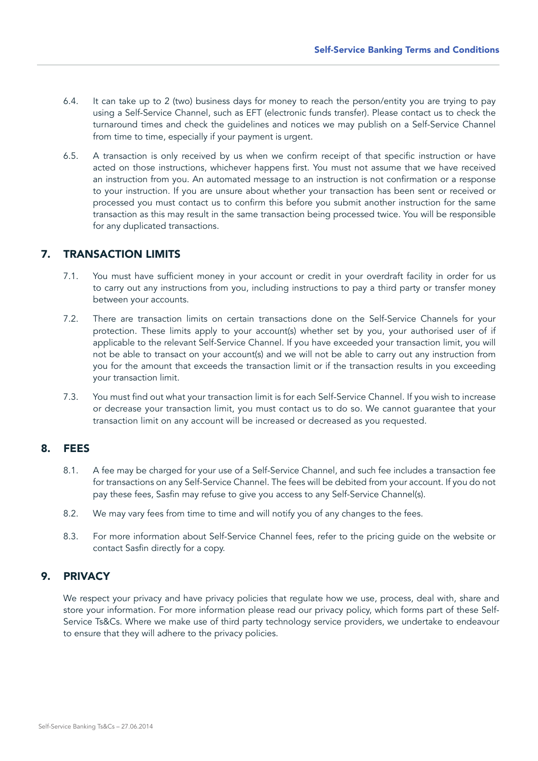- 6.4. It can take up to 2 (two) business days for money to reach the person/entity you are trying to pay using a Self-Service Channel, such as EFT (electronic funds transfer). Please contact us to check the turnaround times and check the guidelines and notices we may publish on a Self-Service Channel from time to time, especially if your payment is urgent.
- 6.5. A transaction is only received by us when we confirm receipt of that specific instruction or have acted on those instructions, whichever happens first. You must not assume that we have received an instruction from you. An automated message to an instruction is not confirmation or a response to your instruction. If you are unsure about whether your transaction has been sent or received or processed you must contact us to confirm this before you submit another instruction for the same transaction as this may result in the same transaction being processed twice. You will be responsible for any duplicated transactions.

### 7. TRANSACTION LIMITS

- 7.1. You must have sufficient money in your account or credit in your overdraft facility in order for us to carry out any instructions from you, including instructions to pay a third party or transfer money between your accounts.
- 7.2. There are transaction limits on certain transactions done on the Self-Service Channels for your protection. These limits apply to your account(s) whether set by you, your authorised user of if applicable to the relevant Self-Service Channel. If you have exceeded your transaction limit, you will not be able to transact on your account(s) and we will not be able to carry out any instruction from you for the amount that exceeds the transaction limit or if the transaction results in you exceeding your transaction limit.
- 7.3. You must find out what your transaction limit is for each Self-Service Channel. If you wish to increase or decrease your transaction limit, you must contact us to do so. We cannot guarantee that your transaction limit on any account will be increased or decreased as you requested.

#### 8. FEES

- 8.1. A fee may be charged for your use of a Self-Service Channel, and such fee includes a transaction fee for transactions on any Self-Service Channel. The fees will be debited from your account. If you do not pay these fees, Sasfin may refuse to give you access to any Self-Service Channel(s).
- 8.2. We may vary fees from time to time and will notify you of any changes to the fees.
- 8.3. For more information about Self-Service Channel fees, refer to the pricing guide on the website or contact Sasfin directly for a copy.

## 9. PRIVACY

We respect your privacy and have privacy policies that regulate how we use, process, deal with, share and store your information. For more information please read our privacy policy, which forms part of these Self-Service Ts&Cs. Where we make use of third party technology service providers, we undertake to endeavour to ensure that they will adhere to the privacy policies.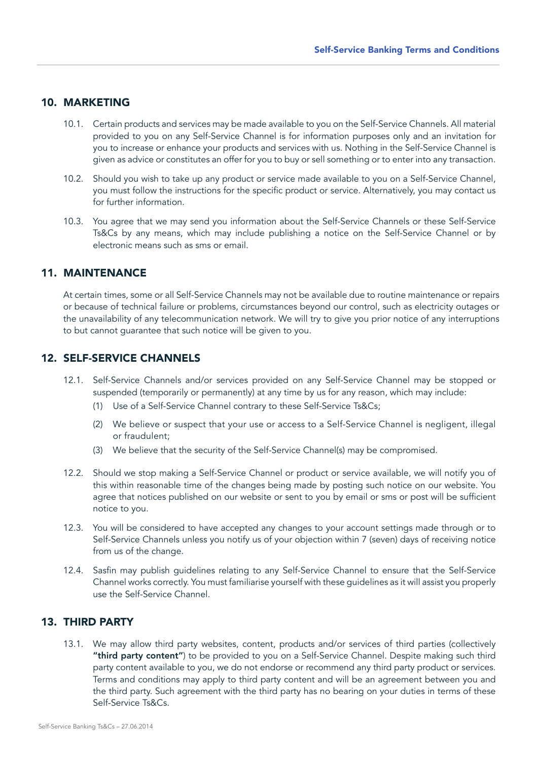#### 10. MARKETING

- 10.1. Certain products and services may be made available to you on the Self-Service Channels. All material provided to you on any Self-Service Channel is for information purposes only and an invitation for you to increase or enhance your products and services with us. Nothing in the Self-Service Channel is given as advice or constitutes an offer for you to buy or sell something or to enter into any transaction.
- 10.2. Should you wish to take up any product or service made available to you on a Self-Service Channel, you must follow the instructions for the specific product or service. Alternatively, you may contact us for further information.
- 10.3. You agree that we may send you information about the Self-Service Channels or these Self-Service Ts&Cs by any means, which may include publishing a notice on the Self-Service Channel or by electronic means such as sms or email.

## 11. MAINTENANCE

At certain times, some or all Self-Service Channels may not be available due to routine maintenance or repairs or because of technical failure or problems, circumstances beyond our control, such as electricity outages or the unavailability of any telecommunication network. We will try to give you prior notice of any interruptions to but cannot guarantee that such notice will be given to you.

#### 12. SELF-SERVICE CHANNELS

- 12.1. Self-Service Channels and/or services provided on any Self-Service Channel may be stopped or suspended (temporarily or permanently) at any time by us for any reason, which may include:
	- (1) Use of a Self-Service Channel contrary to these Self-Service Ts&Cs;
	- (2) We believe or suspect that your use or access to a Self-Service Channel is negligent, illegal or fraudulent;
	- (3) We believe that the security of the Self-Service Channel(s) may be compromised.
- 12.2. Should we stop making a Self-Service Channel or product or service available, we will notify you of this within reasonable time of the changes being made by posting such notice on our website. You agree that notices published on our website or sent to you by email or sms or post will be sufficient notice to you.
- 12.3. You will be considered to have accepted any changes to your account settings made through or to Self-Service Channels unless you notify us of your objection within 7 (seven) days of receiving notice from us of the change.
- 12.4. Sasfin may publish guidelines relating to any Self-Service Channel to ensure that the Self-Service Channel works correctly. You must familiarise yourself with these guidelines as it will assist you properly use the Self-Service Channel.

### 13. THIRD PARTY

13.1. We may allow third party websites, content, products and/or services of third parties (collectively "third party content") to be provided to you on a Self-Service Channel. Despite making such third party content available to you, we do not endorse or recommend any third party product or services. Terms and conditions may apply to third party content and will be an agreement between you and the third party. Such agreement with the third party has no bearing on your duties in terms of these Self-Service Ts&Cs.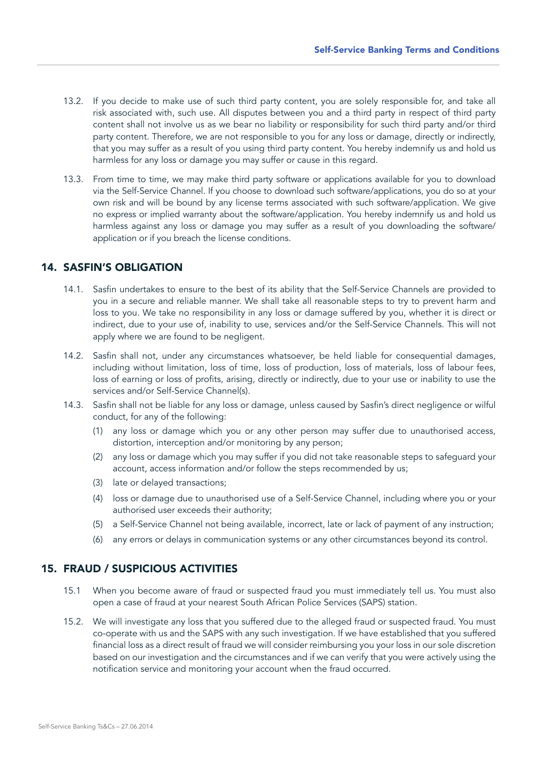- 13.2. If you decide to make use of such third party content, you are solely responsible for, and take all risk associated with, such use. All disputes between you and a third party in respect of third party content shall not involve us as we bear no liability or responsibility for such third party and/or third party content. Therefore, we are not responsible to you for any loss or damage, directly or indirectly, that you may suffer as a result of you using third party content. You hereby indemnify us and hold us harmless for any loss or damage you may suffer or cause in this regard.
- 13.3. From time to time, we may make third party software or applications available for you to download via the Self-Service Channel. If you choose to download such software/applications, you do so at your own risk and will be bound by any license terms associated with such software/application. We give no express or implied warranty about the software/application. You hereby indemnify us and hold us harmless against any loss or damage you may suffer as a result of you downloading the software/ application or if you breach the license conditions.

#### 14. SASFIN'S OBLIGATION

- 14.1. Sasfin undertakes to ensure to the best of its ability that the Self-Service Channels are provided to you in a secure and reliable manner. We shall take all reasonable steps to try to prevent harm and loss to you. We take no responsibility in any loss or damage suffered by you, whether it is direct or indirect, due to your use of, inability to use, services and/or the Self-Service Channels. This will not apply where we are found to be negligent.
- 14.2. Sasfin shall not, under any circumstances whatsoever, be held liable for consequential damages, including without limitation, loss of time, loss of production, loss of materials, loss of labour fees, loss of earning or loss of profits, arising, directly or indirectly, due to your use or inability to use the services and/or Self-Service Channel(s).
- 14.3. Sasfin shall not be liable for any loss or damage, unless caused by Sasfin's direct negligence or wilful conduct, for any of the following:
	- (1) any loss or damage which you or any other person may suffer due to unauthorised access, distortion, interception and/or monitoring by any person;
	- (2) any loss or damage which you may suffer if you did not take reasonable steps to safeguard your account, access information and/or follow the steps recommended by us;
	- (3) late or delayed transactions;
	- (4) loss or damage due to unauthorised use of a Self-Service Channel, including where you or your authorised user exceeds their authority;
	- (5) a Self-Service Channel not being available, incorrect, late or lack of payment of any instruction;
	- (6) any errors or delays in communication systems or any other circumstances beyond its control.

### 15. FRAUD / SUSPICIOUS ACTIVITIES

- 15.1 When you become aware of fraud or suspected fraud you must immediately tell us. You must also open a case of fraud at your nearest South African Police Services (SAPS) station.
- 15.2. We will investigate any loss that you suffered due to the alleged fraud or suspected fraud. You must co-operate with us and the SAPS with any such investigation. If we have established that you suffered financial loss as a direct result of fraud we will consider reimbursing you your loss in our sole discretion based on our investigation and the circumstances and if we can verify that you were actively using the notification service and monitoring your account when the fraud occurred.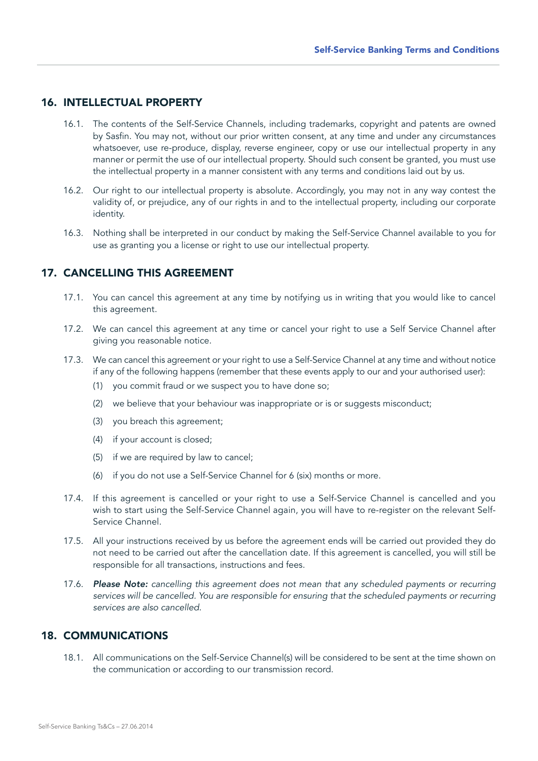### 16. INTELLECTUAL PROPERTY

- 16.1. The contents of the Self-Service Channels, including trademarks, copyright and patents are owned by Sasfin. You may not, without our prior written consent, at any time and under any circumstances whatsoever, use re-produce, display, reverse engineer, copy or use our intellectual property in any manner or permit the use of our intellectual property. Should such consent be granted, you must use the intellectual property in a manner consistent with any terms and conditions laid out by us.
- 16.2. Our right to our intellectual property is absolute. Accordingly, you may not in any way contest the validity of, or prejudice, any of our rights in and to the intellectual property, including our corporate identity.
- 16.3. Nothing shall be interpreted in our conduct by making the Self-Service Channel available to you for use as granting you a license or right to use our intellectual property.

## 17. CANCELLING THIS AGREEMENT

- 17.1. You can cancel this agreement at any time by notifying us in writing that you would like to cancel this agreement.
- 17.2. We can cancel this agreement at any time or cancel your right to use a Self Service Channel after giving you reasonable notice.
- 17.3. We can cancel this agreement or your right to use a Self-Service Channel at any time and without notice if any of the following happens (remember that these events apply to our and your authorised user):
	- (1) you commit fraud or we suspect you to have done so;
	- (2) we believe that your behaviour was inappropriate or is or suggests misconduct;
	- (3) you breach this agreement;
	- (4) if your account is closed;
	- (5) if we are required by law to cancel;
	- (6) if you do not use a Self-Service Channel for 6 (six) months or more.
- 17.4. If this agreement is cancelled or your right to use a Self-Service Channel is cancelled and you wish to start using the Self-Service Channel again, you will have to re-register on the relevant Self-Service Channel.
- 17.5. All your instructions received by us before the agreement ends will be carried out provided they do not need to be carried out after the cancellation date. If this agreement is cancelled, you will still be responsible for all transactions, instructions and fees.
- 17.6. *Please Note: cancelling this agreement does not mean that any scheduled payments or recurring services will be cancelled. You are responsible for ensuring that the scheduled payments or recurring services are also cancelled.*

### 18. COMMUNICATIONS

18.1. All communications on the Self-Service Channel(s) will be considered to be sent at the time shown on the communication or according to our transmission record.